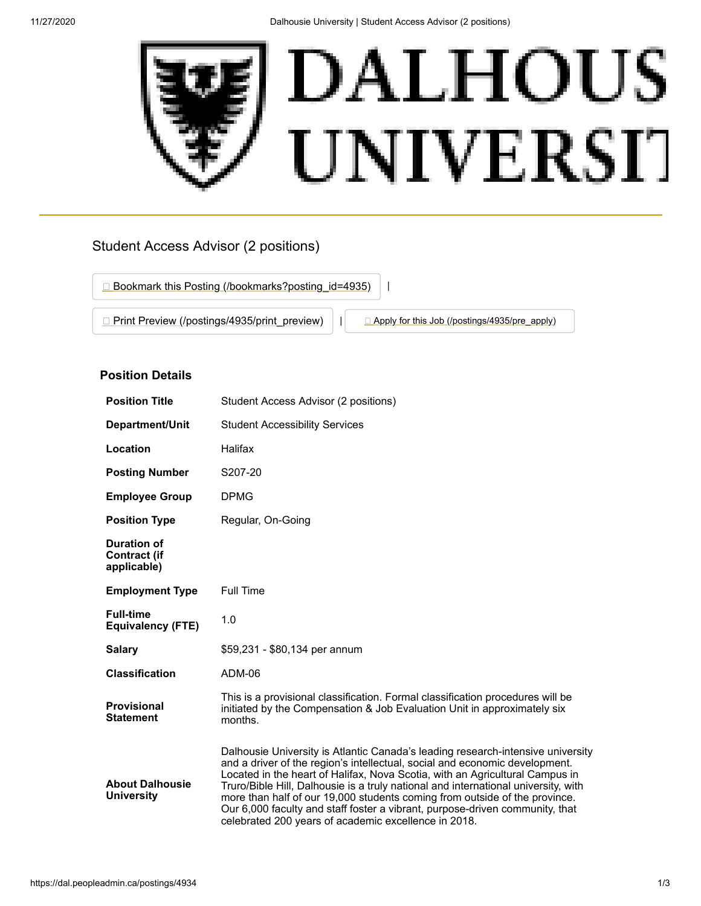

# Student Access Advisor (2 positions)

□ [Bookmark this Posting \(/bookmarks?posting\\_id=4935\)](https://dal.peopleadmin.ca/bookmarks?posting_id=4935) **[Print Preview \(/postings/4935/print\\_preview\)](https://dal.peopleadmin.ca/postings/4935/print_preview)** | **[Apply for this Job \(/postings/4935/pre\\_apply\)](https://dal.peopleadmin.ca/postings/4935/pre_apply)** 

# **Position Details**

| <b>Position Title</b>                             | Student Access Advisor (2 positions)                                                                                                                                                                                                                                                                                                                                                                                                                                                                                                                       |
|---------------------------------------------------|------------------------------------------------------------------------------------------------------------------------------------------------------------------------------------------------------------------------------------------------------------------------------------------------------------------------------------------------------------------------------------------------------------------------------------------------------------------------------------------------------------------------------------------------------------|
| <b>Department/Unit</b>                            | <b>Student Accessibility Services</b>                                                                                                                                                                                                                                                                                                                                                                                                                                                                                                                      |
| Location                                          | Halifax                                                                                                                                                                                                                                                                                                                                                                                                                                                                                                                                                    |
| <b>Posting Number</b>                             | S207-20                                                                                                                                                                                                                                                                                                                                                                                                                                                                                                                                                    |
| <b>Employee Group</b>                             | <b>DPMG</b>                                                                                                                                                                                                                                                                                                                                                                                                                                                                                                                                                |
| <b>Position Type</b>                              | Regular, On-Going                                                                                                                                                                                                                                                                                                                                                                                                                                                                                                                                          |
| Duration of<br><b>Contract (if</b><br>applicable) |                                                                                                                                                                                                                                                                                                                                                                                                                                                                                                                                                            |
| <b>Employment Type</b>                            | <b>Full Time</b>                                                                                                                                                                                                                                                                                                                                                                                                                                                                                                                                           |
| <b>Full-time</b><br><b>Equivalency (FTE)</b>      | 1.0                                                                                                                                                                                                                                                                                                                                                                                                                                                                                                                                                        |
| <b>Salary</b>                                     | \$59,231 - \$80,134 per annum                                                                                                                                                                                                                                                                                                                                                                                                                                                                                                                              |
| <b>Classification</b>                             | ADM-06                                                                                                                                                                                                                                                                                                                                                                                                                                                                                                                                                     |
| <b>Provisional</b><br><b>Statement</b>            | This is a provisional classification. Formal classification procedures will be<br>initiated by the Compensation & Job Evaluation Unit in approximately six<br>months.                                                                                                                                                                                                                                                                                                                                                                                      |
| <b>About Dalhousie</b><br><b>University</b>       | Dalhousie University is Atlantic Canada's leading research-intensive university<br>and a driver of the region's intellectual, social and economic development.<br>Located in the heart of Halifax, Nova Scotia, with an Agricultural Campus in<br>Truro/Bible Hill, Dalhousie is a truly national and international university, with<br>more than half of our 19,000 students coming from outside of the province.<br>Our 6,000 faculty and staff foster a vibrant, purpose-driven community, that<br>celebrated 200 years of academic excellence in 2018. |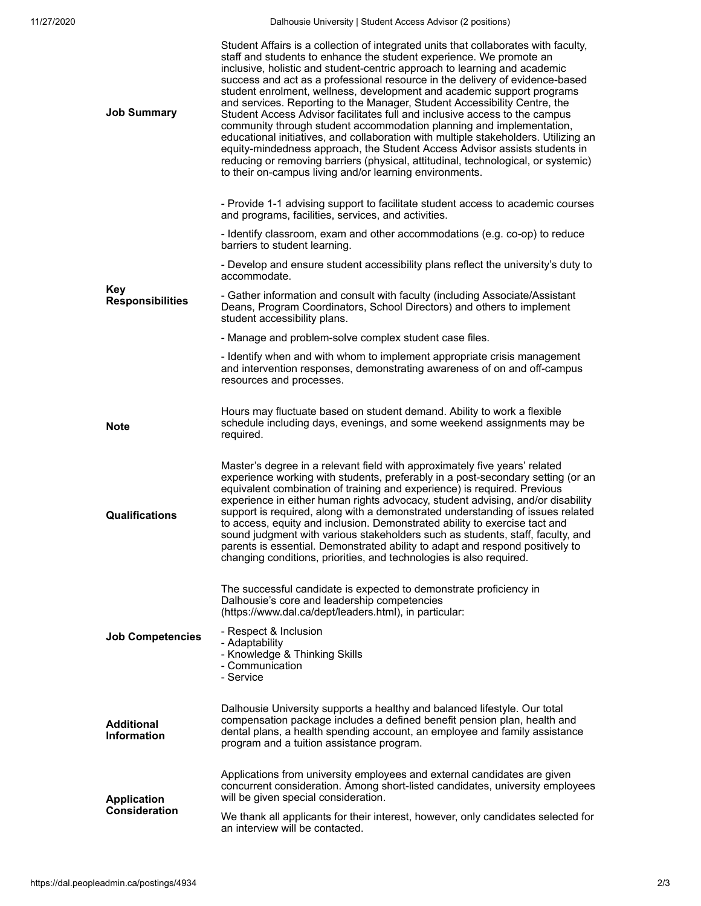11/27/2020 Dalhousie University | Student Access Advisor (2 positions)

| <b>Job Summary</b>                         | Student Affairs is a collection of integrated units that collaborates with faculty,<br>staff and students to enhance the student experience. We promote an<br>inclusive, holistic and student-centric approach to learning and academic<br>success and act as a professional resource in the delivery of evidence-based<br>student enrolment, wellness, development and academic support programs<br>and services. Reporting to the Manager, Student Accessibility Centre, the<br>Student Access Advisor facilitates full and inclusive access to the campus<br>community through student accommodation planning and implementation,<br>educational initiatives, and collaboration with multiple stakeholders. Utilizing an<br>equity-mindedness approach, the Student Access Advisor assists students in<br>reducing or removing barriers (physical, attitudinal, technological, or systemic)<br>to their on-campus living and/or learning environments. |
|--------------------------------------------|-----------------------------------------------------------------------------------------------------------------------------------------------------------------------------------------------------------------------------------------------------------------------------------------------------------------------------------------------------------------------------------------------------------------------------------------------------------------------------------------------------------------------------------------------------------------------------------------------------------------------------------------------------------------------------------------------------------------------------------------------------------------------------------------------------------------------------------------------------------------------------------------------------------------------------------------------------------|
| Kev<br><b>Responsibilities</b>             | - Provide 1-1 advising support to facilitate student access to academic courses<br>and programs, facilities, services, and activities.                                                                                                                                                                                                                                                                                                                                                                                                                                                                                                                                                                                                                                                                                                                                                                                                                    |
|                                            | - Identify classroom, exam and other accommodations (e.g. co-op) to reduce<br>barriers to student learning.                                                                                                                                                                                                                                                                                                                                                                                                                                                                                                                                                                                                                                                                                                                                                                                                                                               |
|                                            | - Develop and ensure student accessibility plans reflect the university's duty to<br>accommodate.                                                                                                                                                                                                                                                                                                                                                                                                                                                                                                                                                                                                                                                                                                                                                                                                                                                         |
|                                            | - Gather information and consult with faculty (including Associate/Assistant<br>Deans, Program Coordinators, School Directors) and others to implement<br>student accessibility plans.                                                                                                                                                                                                                                                                                                                                                                                                                                                                                                                                                                                                                                                                                                                                                                    |
|                                            | - Manage and problem-solve complex student case files.                                                                                                                                                                                                                                                                                                                                                                                                                                                                                                                                                                                                                                                                                                                                                                                                                                                                                                    |
|                                            | - Identify when and with whom to implement appropriate crisis management<br>and intervention responses, demonstrating awareness of on and off-campus<br>resources and processes.                                                                                                                                                                                                                                                                                                                                                                                                                                                                                                                                                                                                                                                                                                                                                                          |
| <b>Note</b>                                | Hours may fluctuate based on student demand. Ability to work a flexible<br>schedule including days, evenings, and some weekend assignments may be<br>required.                                                                                                                                                                                                                                                                                                                                                                                                                                                                                                                                                                                                                                                                                                                                                                                            |
| Qualifications                             | Master's degree in a relevant field with approximately five years' related<br>experience working with students, preferably in a post-secondary setting (or an<br>equivalent combination of training and experience) is required. Previous<br>experience in either human rights advocacy, student advising, and/or disability<br>support is required, along with a demonstrated understanding of issues related<br>to access, equity and inclusion. Demonstrated ability to exercise tact and<br>sound judgment with various stakeholders such as students, staff, faculty, and<br>parents is essential. Demonstrated ability to adapt and respond positively to<br>changing conditions, priorities, and technologies is also required.                                                                                                                                                                                                                    |
|                                            |                                                                                                                                                                                                                                                                                                                                                                                                                                                                                                                                                                                                                                                                                                                                                                                                                                                                                                                                                           |
|                                            | The successful candidate is expected to demonstrate proficiency in<br>Dalhousie's core and leadership competencies<br>(https://www.dal.ca/dept/leaders.html), in particular:                                                                                                                                                                                                                                                                                                                                                                                                                                                                                                                                                                                                                                                                                                                                                                              |
| <b>Job Competencies</b>                    | - Respect & Inclusion<br>- Adaptability<br>- Knowledge & Thinking Skills<br>- Communication<br>- Service                                                                                                                                                                                                                                                                                                                                                                                                                                                                                                                                                                                                                                                                                                                                                                                                                                                  |
| <b>Additional</b><br><b>Information</b>    | Dalhousie University supports a healthy and balanced lifestyle. Our total<br>compensation package includes a defined benefit pension plan, health and<br>dental plans, a health spending account, an employee and family assistance<br>program and a tuition assistance program.                                                                                                                                                                                                                                                                                                                                                                                                                                                                                                                                                                                                                                                                          |
| <b>Application</b><br><b>Consideration</b> | Applications from university employees and external candidates are given<br>concurrent consideration. Among short-listed candidates, university employees<br>will be given special consideration.                                                                                                                                                                                                                                                                                                                                                                                                                                                                                                                                                                                                                                                                                                                                                         |